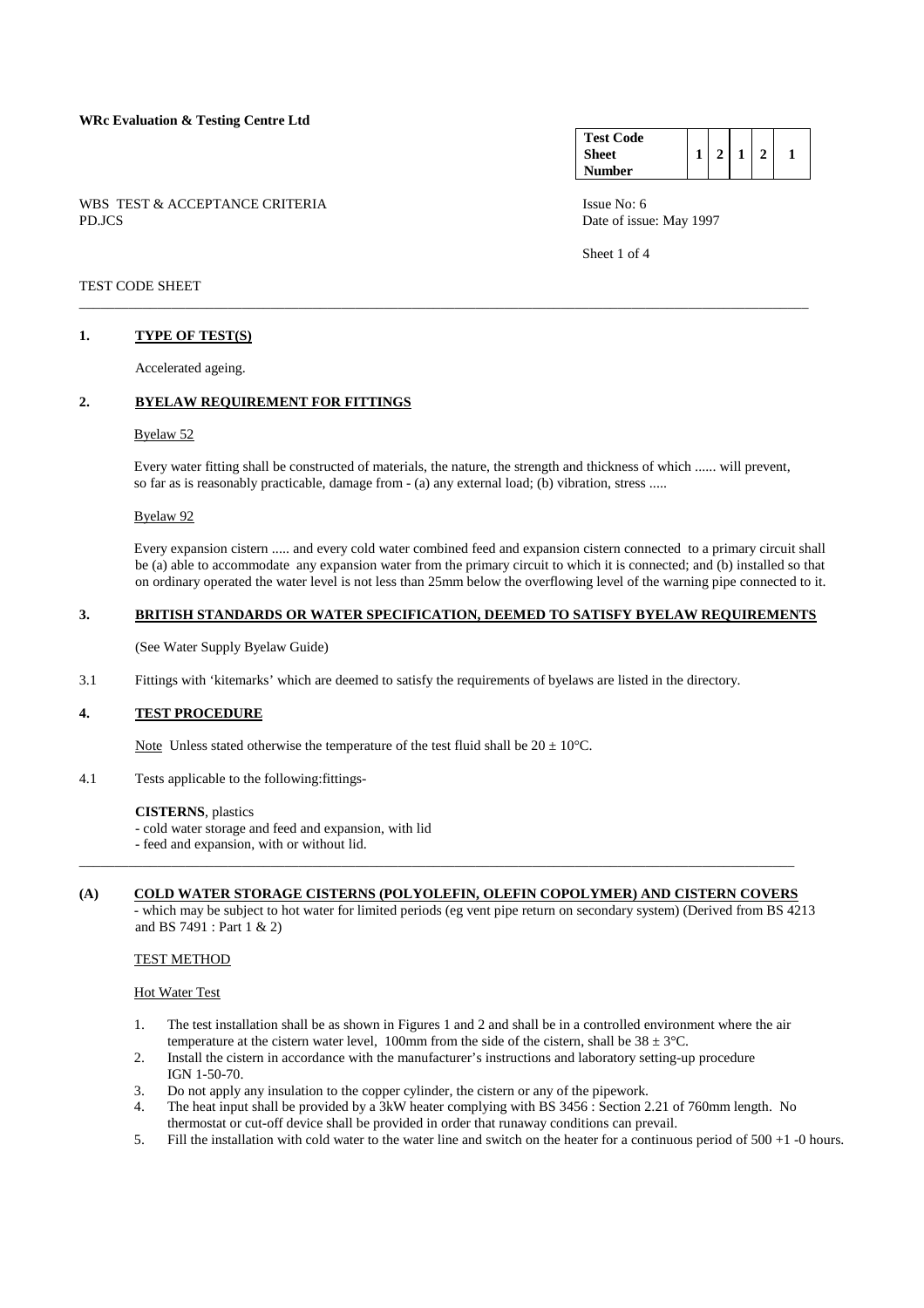WBS TEST & ACCEPTANCE CRITERIA ISSUE No: 6 PD.JCS Date of issue: May 1997

#### **Test Code Sheet Number**   $1 \mid 2 \mid 1 \mid 2 \mid 1$

Sheet 1 of 4

## TEST CODE SHEET

## **1. TYPE OF TEST(S)**

Accelerated ageing.

## **2. BYELAW REQUIREMENT FOR FITTINGS**

## Byelaw 52

 Every water fitting shall be constructed of materials, the nature, the strength and thickness of which ...... will prevent, so far as is reasonably practicable, damage from - (a) any external load; (b) vibration, stress .....

\_\_\_\_\_\_\_\_\_\_\_\_\_\_\_\_\_\_\_\_\_\_\_\_\_\_\_\_\_\_\_\_\_\_\_\_\_\_\_\_\_\_\_\_\_\_\_\_\_\_\_\_\_\_\_\_\_\_\_\_\_\_\_\_\_\_\_\_\_\_\_\_\_\_\_\_\_\_\_\_\_\_\_\_\_\_\_\_\_\_\_\_\_\_\_\_\_\_\_\_\_\_\_

#### Byelaw 92

 Every expansion cistern ..... and every cold water combined feed and expansion cistern connected to a primary circuit shall be (a) able to accommodate any expansion water from the primary circuit to which it is connected; and (b) installed so that on ordinary operated the water level is not less than 25mm below the overflowing level of the warning pipe connected to it.

#### **3. BRITISH STANDARDS OR WATER SPECIFICATION, DEEMED TO SATISFY BYELAW REQUIREMENTS**

(See Water Supply Byelaw Guide)

3.1 Fittings with 'kitemarks' which are deemed to satisfy the requirements of byelaws are listed in the directory.

#### **4. TEST PROCEDURE**

Note Unless stated otherwise the temperature of the test fluid shall be  $20 \pm 10^{\circ}$ C.

4.1 Tests applicable to the following:fittings-

#### **CISTERNS**, plastics

- cold water storage and feed and expansion, with lid
- feed and expansion, with or without lid.

# **(A) COLD WATER STORAGE CISTERNS (POLYOLEFIN, OLEFIN COPOLYMER) AND CISTERN COVERS**

\_\_\_\_\_\_\_\_\_\_\_\_\_\_\_\_\_\_\_\_\_\_\_\_\_\_\_\_\_\_\_\_\_\_\_\_\_\_\_\_\_\_\_\_\_\_\_\_\_\_\_\_\_\_\_\_\_\_\_\_\_\_\_\_\_\_\_\_\_\_\_\_\_\_\_\_\_\_\_\_\_\_\_\_\_\_\_\_\_\_\_\_\_\_\_\_\_\_\_\_\_

 - which may be subject to hot water for limited periods (eg vent pipe return on secondary system) (Derived from BS 4213 and BS 7491 : Part 1 & 2)

## TEST METHOD

#### Hot Water Test

- 1. The test installation shall be as shown in Figures 1 and 2 and shall be in a controlled environment where the air temperature at the cistern water level, 100mm from the side of the cistern, shall be  $38 \pm 3^{\circ}$ C.
- 2. Install the cistern in accordance with the manufacturer's instructions and laboratory setting-up procedure IGN 1-50-70.
- 3. Do not apply any insulation to the copper cylinder, the cistern or any of the pipework.
- 4. The heat input shall be provided by a 3kW heater complying with BS 3456 : Section 2.21 of 760mm length. No thermostat or cut-off device shall be provided in order that runaway conditions can prevail.
- 5. Fill the installation with cold water to the water line and switch on the heater for a continuous period of 500 +1 -0 hours.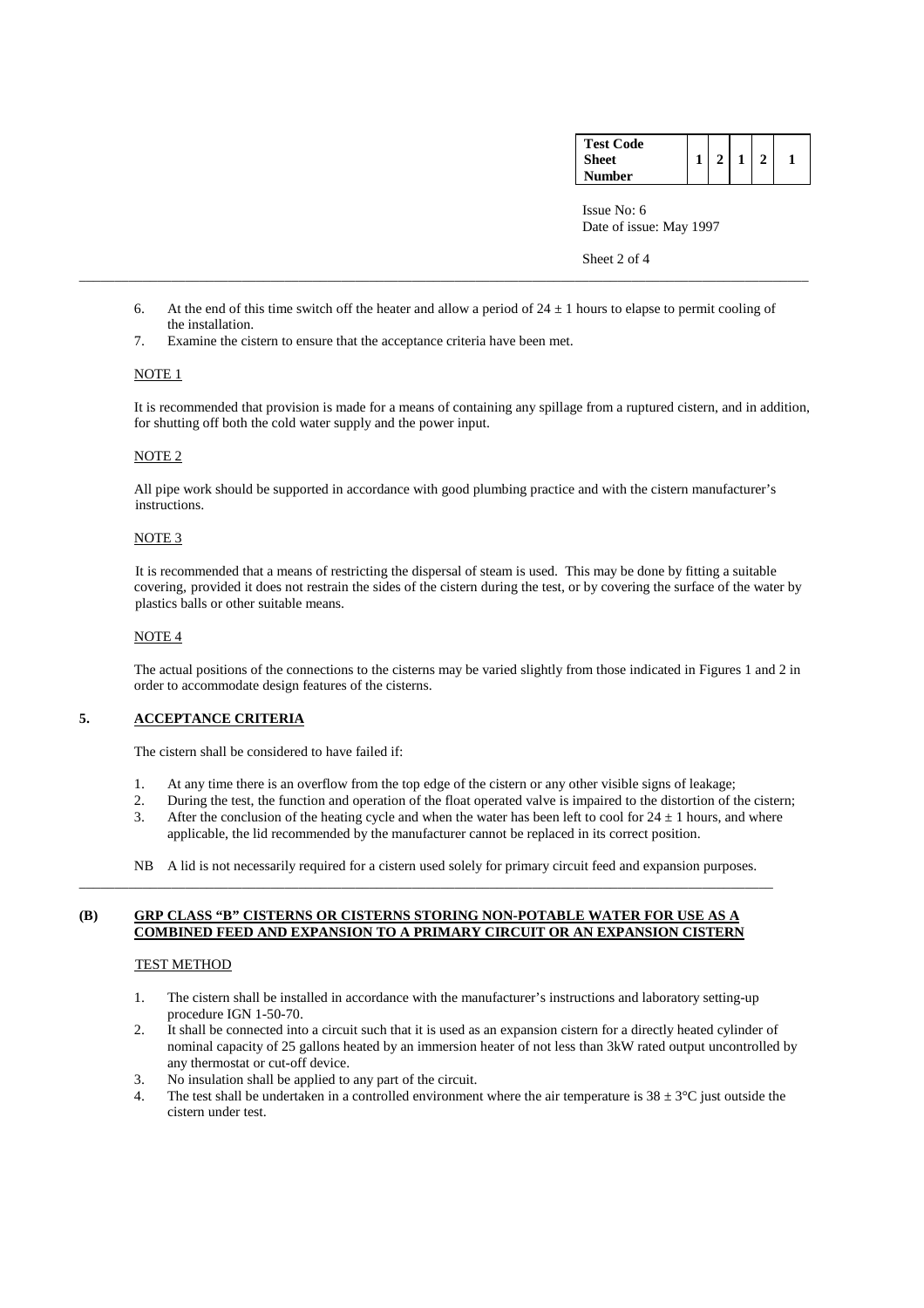| <b>Test Code</b> |  |  |  |
|------------------|--|--|--|
| <b>Sheet</b>     |  |  |  |
| <b>Number</b>    |  |  |  |

 Issue No: 6 Date of issue: May 1997

Sheet 2 of 4

6. At the end of this time switch off the heater and allow a period of  $24 \pm 1$  hours to elapse to permit cooling of the installation.

\_\_\_\_\_\_\_\_\_\_\_\_\_\_\_\_\_\_\_\_\_\_\_\_\_\_\_\_\_\_\_\_\_\_\_\_\_\_\_\_\_\_\_\_\_\_\_\_\_\_\_\_\_\_\_\_\_\_\_\_\_\_\_\_\_\_\_\_\_\_\_\_\_\_\_\_\_\_\_\_\_\_\_\_\_\_\_\_\_\_\_\_\_\_\_\_\_\_\_\_\_\_\_

7. Examine the cistern to ensure that the acceptance criteria have been met.

## NOTE 1

 It is recommended that provision is made for a means of containing any spillage from a ruptured cistern, and in addition, for shutting off both the cold water supply and the power input.

## NOTE 2

 All pipe work should be supported in accordance with good plumbing practice and with the cistern manufacturer's instructions.

## NOTE 3

 It is recommended that a means of restricting the dispersal of steam is used. This may be done by fitting a suitable covering, provided it does not restrain the sides of the cistern during the test, or by covering the surface of the water by plastics balls or other suitable means.

## NOTE 4

 The actual positions of the connections to the cisterns may be varied slightly from those indicated in Figures 1 and 2 in order to accommodate design features of the cisterns.

## **5. ACCEPTANCE CRITERIA**

The cistern shall be considered to have failed if:

- 1. At any time there is an overflow from the top edge of the cistern or any other visible signs of leakage;
- 2. During the test, the function and operation of the float operated valve is impaired to the distortion of the cistern; 3. After the conclusion of the heating cycle and when the water has been left to cool for  $24 \pm 1$  hours, and where applicable, the lid recommended by the manufacturer cannot be replaced in its correct position.
- 
- NB A lid is not necessarily required for a cistern used solely for primary circuit feed and expansion purposes. \_\_\_\_\_\_\_\_\_\_\_\_\_\_\_\_\_\_\_\_\_\_\_\_\_\_\_\_\_\_\_\_\_\_\_\_\_\_\_\_\_\_\_\_\_\_\_\_\_\_\_\_\_\_\_\_\_\_\_\_\_\_\_\_\_\_\_\_\_\_\_\_\_\_\_\_\_\_\_\_\_\_\_\_\_\_\_\_\_\_\_\_\_\_\_\_\_\_

## **(B) GRP CLASS "B" CISTERNS OR CISTERNS STORING NON-POTABLE WATER FOR USE AS A COMBINED FEED AND EXPANSION TO A PRIMARY CIRCUIT OR AN EXPANSION CISTERN**

#### TEST METHOD

- 1. The cistern shall be installed in accordance with the manufacturer's instructions and laboratory setting-up procedure IGN 1-50-70.
- 2. It shall be connected into a circuit such that it is used as an expansion cistern for a directly heated cylinder of nominal capacity of 25 gallons heated by an immersion heater of not less than 3kW rated output uncontrolled by any thermostat or cut-off device.
- 3. No insulation shall be applied to any part of the circuit.
- 4. The test shall be undertaken in a controlled environment where the air temperature is  $38 \pm 3^{\circ}$ C just outside the cistern under test.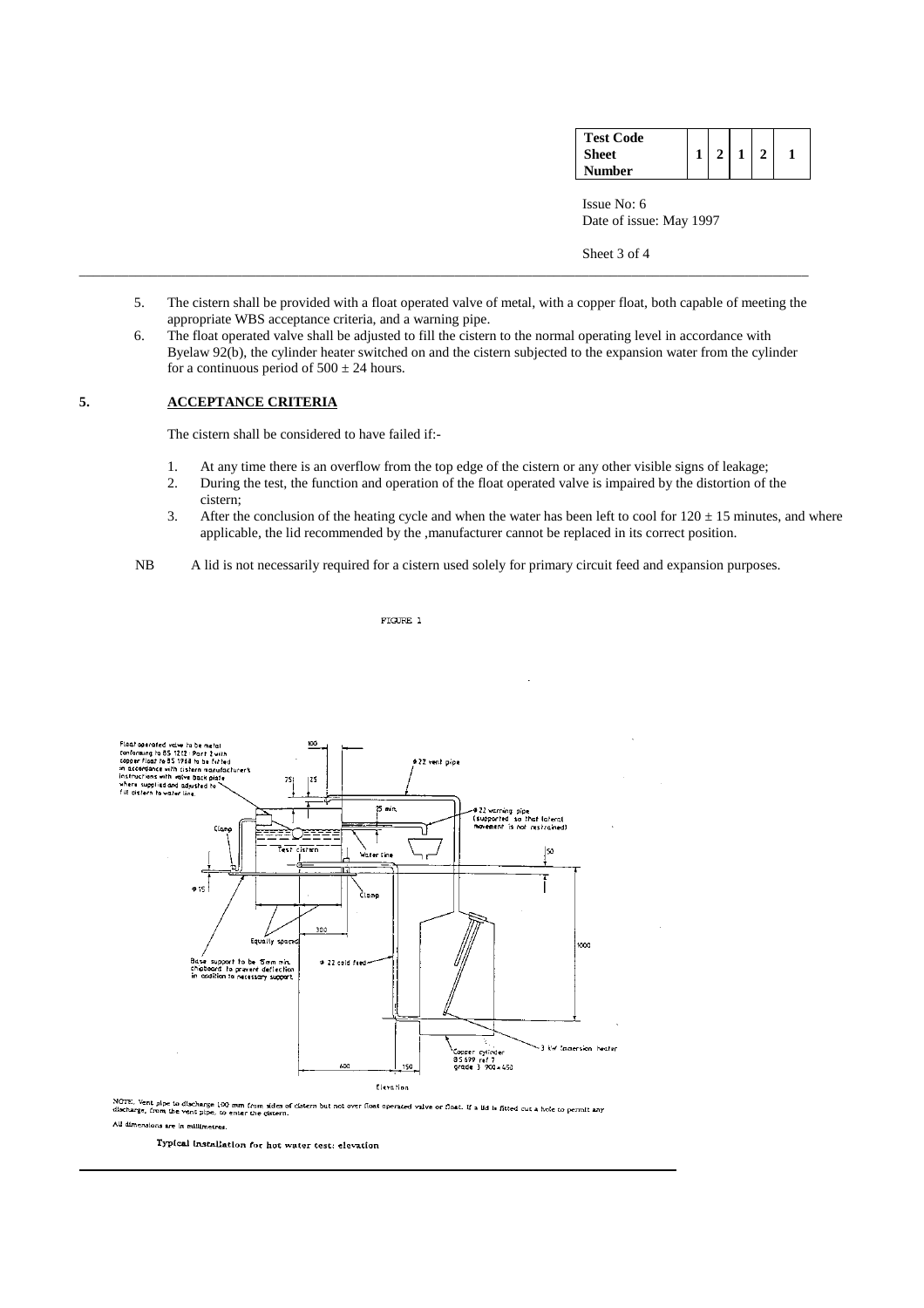| <b>Test Code</b> |  |  |  |
|------------------|--|--|--|
| <b>Sheet</b>     |  |  |  |
| Number           |  |  |  |

 Issue No: 6 Date of issue: May 1997

Sheet 3 of 4

 5. The cistern shall be provided with a float operated valve of metal, with a copper float, both capable of meeting the appropriate WBS acceptance criteria, and a warning pipe.

\_\_\_\_\_\_\_\_\_\_\_\_\_\_\_\_\_\_\_\_\_\_\_\_\_\_\_\_\_\_\_\_\_\_\_\_\_\_\_\_\_\_\_\_\_\_\_\_\_\_\_\_\_\_\_\_\_\_\_\_\_\_\_\_\_\_\_\_\_\_\_\_\_\_\_\_\_\_\_\_\_\_\_\_\_\_\_\_\_\_\_\_\_\_\_\_\_\_\_\_\_\_\_

 6. The float operated valve shall be adjusted to fill the cistern to the normal operating level in accordance with Byelaw 92(b), the cylinder heater switched on and the cistern subjected to the expansion water from the cylinder for a continuous period of  $500 \pm 24$  hours.

## **5. ACCEPTANCE CRITERIA**

The cistern shall be considered to have failed if:-

- 1. At any time there is an overflow from the top edge of the cistern or any other visible signs of leakage;
- 2. During the test, the function and operation of the float operated valve is impaired by the distortion of the cistern;
- 3. After the conclusion of the heating cycle and when the water has been left to cool for  $120 \pm 15$  minutes, and where applicable, the lid recommended by the ,manufacturer cannot be replaced in its correct position.
- NB A lid is not necessarily required for a cistern used solely for primary circuit feed and expansion purposes.

FIGURE 1



NOTE. Vent pipe to discharge 100 mm from sides of cistern but not over float operated valve or float. If a lid is fitted cut a hole to permit any<br>discharge, from the vent pipe, to enter the cistern.<br>...

All dimensions are in millimetres.

Typical installation for hot water test: elevation